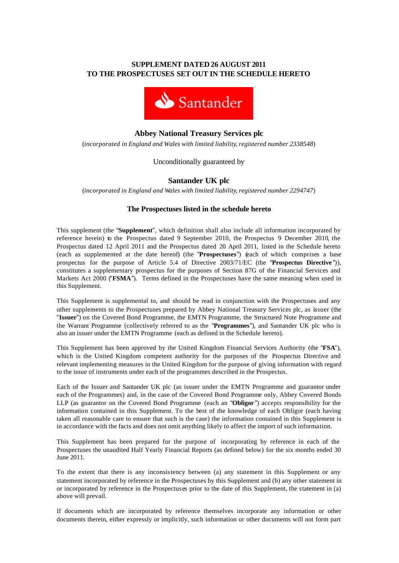# **SUPPLEMENT DATED 26 AUGUST 2011 TO THE PROSPECTUSES SET OUT IN THE SCHEDULE HERETO**



# **Abbey National Treasury Services plc**

(*incorporated in England and Wales with limited liability, registered number 2338548*)

Unconditionally guaranteed by

# **Santander UK plc**

(*incorporated in England and Wales with limited liability, registered number 2294747*)

# **The Prospectuses listed in the schedule hereto**

This supplement (the "**Supplement**", which definition shall also include all information incorporated by reference herein) to the Prospectus dated 9 September 2010, the Prospectus 9 December 2010, the Prospectus dated 12 April 2011 and the Prospectus dated 20 April 2011, listed in the Schedule hereto (each as supplemented at the date hereof) (the "**Prospectuses**") (each of which comprises a base prospectus for the purpose of Article 5.4 of Directive 2003/71/EC (the "**Prospectus Directive** ")), constitutes a supplementary prospectus for the purposes of Section 87G of the Financial Services and Markets Act 2000 ("**FSMA**"). Terms defined in the Prospectuses have the same meaning when used in this Supplement.

This Supplement is supplemental to, and should be read in conjunction with the Prospectuses and any other supplements to the Prospectuses prepared by Abbey National Treasury Services plc, as issuer (the "**Issuer**") on the Covered Bond Programme, the EMTN Programme, the Structured Note Programme and the Warrant Programme (collectively referred to as the "**Programmes**"), and Santander UK plc who is also an issuer under the EMTN Programme (each as defined in the Schedule hereto).

This Supplement has been approved by the United Kingdom Financial Services Authority (the "**FSA**"), which is the United Kingdom competent authority for the purposes of the Prospectus Directive and relevant implementing measures in the United Kingdom for the purpose of giving information with regard to the issue of instruments under each of the programmes described in the Prospectus.

Each of the Issuer and Santander UK plc (as issuer under the EMTN Programme and guarantor under each of the Programmes) and, in the case of the Covered Bond Programme only, Abbey Covered Bonds LLP (as guarantor on the Covered Bond Programme (each an "**Obligor** ") accepts responsibility for the information contained in this Supplement. To the best of the knowledge of each Obligor (each having taken all reasonable care to ensure that such is the case) the information contained in this Supplement is in accordance with the facts and does not omit anything likely to affect the import of such information.

This Supplement has been prepared for the purpose of incorporating by reference in each of the Prospectuses the unaudited Half Yearly Financial Reports (as defined below) for the six months ended 30 June 2011.

To the extent that there is any inconsistency between (a) any statement in this Supplement or any statement incorporated by reference in the Prospectuses by this Supplement and (b) any other statement in or incorporated by reference in the Prospectuses prior to the date of this Supplement, the statement in (a) above will prevail.

If documents which are incorporated by reference themselves incorporate any information or other documents therein, either expressly or implicitly, such information or other documents will not form part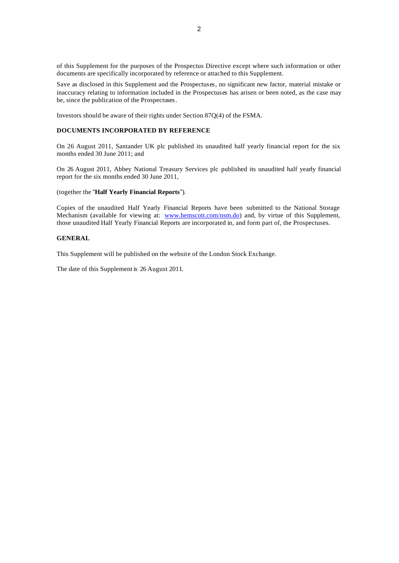of this Supplement for the purposes of the Prospectus Directive except where such information or other documents are specifically incorporated by reference or attached to this Supplement.

Save as disclosed in this Supplement and the Prospectuses, no significant new factor, material mistake or inaccuracy relating to information included in the Prospectuses has arisen or been noted, as the case may be, since the publication of the Prospectuses.

Investors should be aware of their rights under Section 87Q(4) of the FSMA.

#### **DOCUMENTS INCORPORATED BY REFERENCE**

On 26 August 2011, Santander UK plc published its unaudited half yearly financial report for the six months ended 30 June 2011; and

On 26 August 2011, Abbey National Treasury Services plc published its unaudited half yearly financial report for the six months ended 30 June 2011,

# (together the "**Half Yearly Financial Reports**").

Copies of the unaudited Half Yearly Financial Reports have been submitted to the National Storage Mechanism (available for viewing at: www.hemscott.com/nsm.do) and, by virtue of this Supplement, those unaudited Half Yearly Financial Reports are incorporated in, and form part of, the Prospectuses.

#### **GENERAL**

This Supplement will be published on the website of the London Stock Exchange.

The date of this Supplement is 26 August 2011.